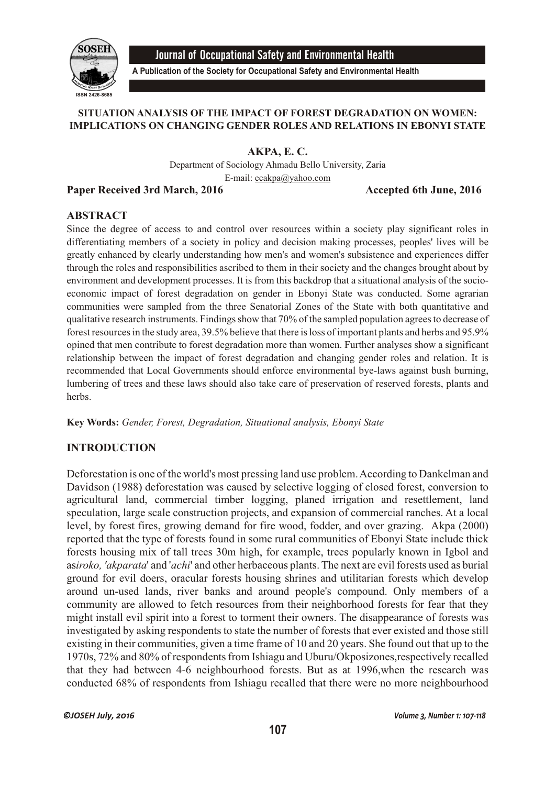

Journal of Occupational Safety and Environmental Health

**A Publication of the Society for Occupational Safety and Environmental Health**

# **SITUATION ANALYSIS OF THE IMPACT OF FOREST DEGRADATION ON WOMEN: IMPLICATIONS ON CHANGING GENDER ROLES AND RELATIONS IN EBONYI STATE**

**AKPA, E. C.**

Department of Sociology Ahmadu Bello University, Zaria E-mail: ecakpa@yahoo.com

#### Paper Received 3rd March, 2016 **Accepted 6th June**, 2016

## **ABSTRACT**

Since the degree of access to and control over resources within a society play significant roles in differentiating members of a society in policy and decision making processes, peoples' lives will be greatly enhanced by clearly understanding how men's and women's subsistence and experiences differ through the roles and responsibilities ascribed to them in their society and the changes brought about by environment and development processes. It is from this backdrop that a situational analysis of the socioeconomic impact of forest degradation on gender in Ebonyi State was conducted. Some agrarian communities were sampled from the three Senatorial Zones of the State with both quantitative and qualitative research instruments. Findings show that 70% of the sampled population agrees to decrease of forest resources in the study area, 39.5% believe that there is loss of important plants and herbs and 95.9% opined that men contribute to forest degradation more than women. Further analyses show a significant relationship between the impact of forest degradation and changing gender roles and relation. It is recommended that Local Governments should enforce environmental bye-laws against bush burning, lumbering of trees and these laws should also take care of preservation of reserved forests, plants and herbs.

**Key Words:** *Gender, Forest, Degradation, Situational analysis, Ebonyi State*

# **INTRODUCTION**

Deforestation is one of the world's most pressing land use problem. According to Dankelman and Davidson (1988) deforestation was caused by selective logging of closed forest, conversion to agricultural land, commercial timber logging, planed irrigation and resettlement, land speculation, large scale construction projects, and expansion of commercial ranches. At a local level, by forest fires, growing demand for fire wood, fodder, and over grazing. Akpa (2000) reported that the type of forests found in some rural communities of Ebonyi State include thick forests housing mix of tall trees 30m high, for example, trees popularly known in Igbol and as*iroko, 'akparata*' and '*achi*' and other herbaceous plants. The next are evil forests used as burial ground for evil doers, oracular forests housing shrines and utilitarian forests which develop around un-used lands, river banks and around people's compound. Only members of a community are allowed to fetch resources from their neighborhood forests for fear that they might install evil spirit into a forest to torment their owners. The disappearance of forests was investigated by asking respondents to state the number of forests that ever existed and those still existing in their communities, given a time frame of 10 and 20 years. She found out that up to the 1970s, 72% and 80% of respondents from Ishiagu and Uburu/Okposizones,respectively recalled that they had between 4-6 neighbourhood forests. But as at 1996,when the research was conducted 68% of respondents from Ishiagu recalled that there were no more neighbourhood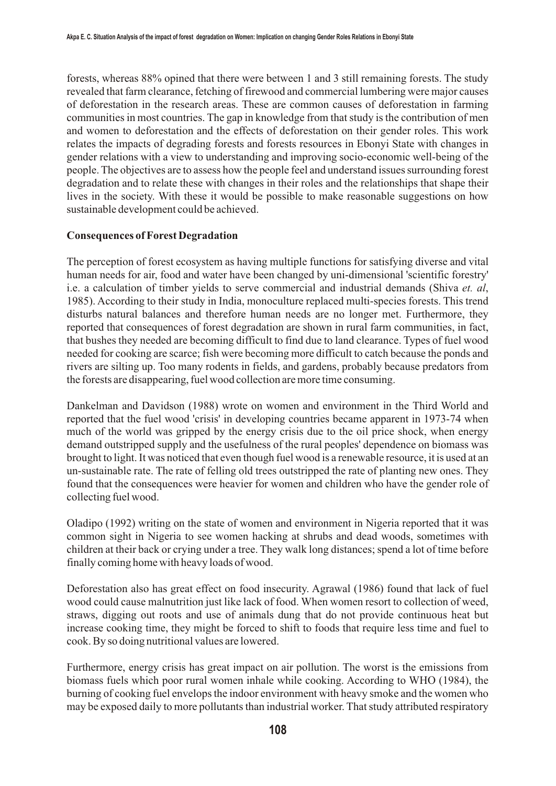forests, whereas 88% opined that there were between 1 and 3 still remaining forests. The study revealed that farm clearance, fetching of firewood and commercial lumbering were major causes of deforestation in the research areas. These are common causes of deforestation in farming communities in most countries. The gap in knowledge from that study is the contribution of men and women to deforestation and the effects of deforestation on their gender roles. This work relates the impacts of degrading forests and forests resources in Ebonyi State with changes in gender relations with a view to understanding and improving socio-economic well-being of the people. The objectives are to assess how the people feel and understand issues surrounding forest degradation and to relate these with changes in their roles and the relationships that shape their lives in the society. With these it would be possible to make reasonable suggestions on how sustainable development could be achieved.

### **Consequences of Forest Degradation**

The perception of forest ecosystem as having multiple functions for satisfying diverse and vital human needs for air, food and water have been changed by uni-dimensional 'scientific forestry' i.e. a calculation of timber yields to serve commercial and industrial demands (Shiva *et. al*, 1985). According to their study in India, monoculture replaced multi-species forests. This trend disturbs natural balances and therefore human needs are no longer met. Furthermore, they reported that consequences of forest degradation are shown in rural farm communities, in fact, that bushes they needed are becoming difficult to find due to land clearance. Types of fuel wood needed for cooking are scarce; fish were becoming more difficult to catch because the ponds and rivers are silting up. Too many rodents in fields, and gardens, probably because predators from the forests are disappearing, fuel wood collection are more time consuming.

Dankelman and Davidson (1988) wrote on women and environment in the Third World and reported that the fuel wood 'crisis' in developing countries became apparent in 1973-74 when much of the world was gripped by the energy crisis due to the oil price shock, when energy demand outstripped supply and the usefulness of the rural peoples' dependence on biomass was brought to light. It was noticed that even though fuel wood is a renewable resource, it is used at an un-sustainable rate. The rate of felling old trees outstripped the rate of planting new ones. They found that the consequences were heavier for women and children who have the gender role of collecting fuel wood.

Oladipo (1992) writing on the state of women and environment in Nigeria reported that it was common sight in Nigeria to see women hacking at shrubs and dead woods, sometimes with children at their back or crying under a tree. They walk long distances; spend a lot of time before finally coming home with heavy loads of wood.

Deforestation also has great effect on food insecurity. Agrawal (1986) found that lack of fuel wood could cause malnutrition just like lack of food. When women resort to collection of weed, straws, digging out roots and use of animals dung that do not provide continuous heat but increase cooking time, they might be forced to shift to foods that require less time and fuel to cook. By so doing nutritional values are lowered.

Furthermore, energy crisis has great impact on air pollution. The worst is the emissions from biomass fuels which poor rural women inhale while cooking. According to WHO (1984), the burning of cooking fuel envelops the indoor environment with heavy smoke and the women who may be exposed daily to more pollutants than industrial worker. That study attributed respiratory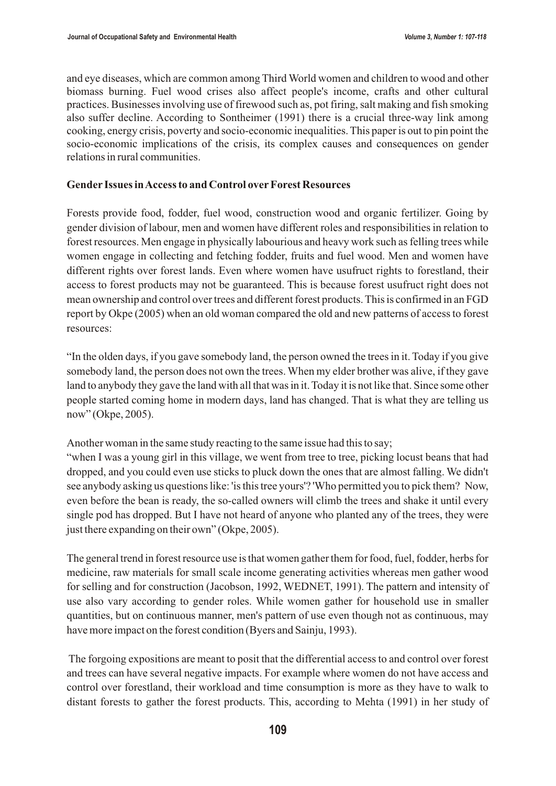and eye diseases, which are common among Third World women and children to wood and other biomass burning. Fuel wood crises also affect people's income, crafts and other cultural practices. Businesses involving use of firewood such as, pot firing, salt making and fish smoking also suffer decline. According to Sontheimer (1991) there is a crucial three-way link among cooking, energy crisis, poverty and socio-economic inequalities. This paper is out to pin point the socio-economic implications of the crisis, its complex causes and consequences on gender relations in rural communities.

### **Gender Issues in Access to and Control over Forest Resources**

Forests provide food, fodder, fuel wood, construction wood and organic fertilizer. Going by gender division of labour, men and women have different roles and responsibilities in relation to forest resources. Men engage in physically labourious and heavy work such as felling trees while women engage in collecting and fetching fodder, fruits and fuel wood. Men and women have different rights over forest lands. Even where women have usufruct rights to forestland, their access to forest products may not be guaranteed. This is because forest usufruct right does not mean ownership and control over trees and different forest products. This is confirmed in an FGD report by Okpe (2005) when an old woman compared the old and new patterns of access to forest resources:

"In the olden days, if you gave somebody land, the person owned the trees in it. Today if you give somebody land, the person does not own the trees. When my elder brother was alive, if they gave land to anybody they gave the land with all that was in it. Today it is not like that. Since some other people started coming home in modern days, land has changed. That is what they are telling us now" (Okpe, 2005).

Another woman in the same study reacting to the same issue had this to say;

"when I was a young girl in this village, we went from tree to tree, picking locust beans that had dropped, and you could even use sticks to pluck down the ones that are almost falling. We didn't see anybody asking us questions like: 'is this tree yours'? 'Who permitted you to pick them? Now, even before the bean is ready, the so-called owners will climb the trees and shake it until every single pod has dropped. But I have not heard of anyone who planted any of the trees, they were just there expanding on their own" (Okpe, 2005).

The general trend in forest resource use is that women gather them for food, fuel, fodder, herbs for medicine, raw materials for small scale income generating activities whereas men gather wood for selling and for construction (Jacobson, 1992, WEDNET, 1991). The pattern and intensity of use also vary according to gender roles. While women gather for household use in smaller quantities, but on continuous manner, men's pattern of use even though not as continuous, may have more impact on the forest condition (Byers and Sainju, 1993).

The forgoing expositions are meant to posit that the differential access to and control over forest and trees can have several negative impacts. For example where women do not have access and control over forestland, their workload and time consumption is more as they have to walk to distant forests to gather the forest products. This, according to Mehta (1991) in her study of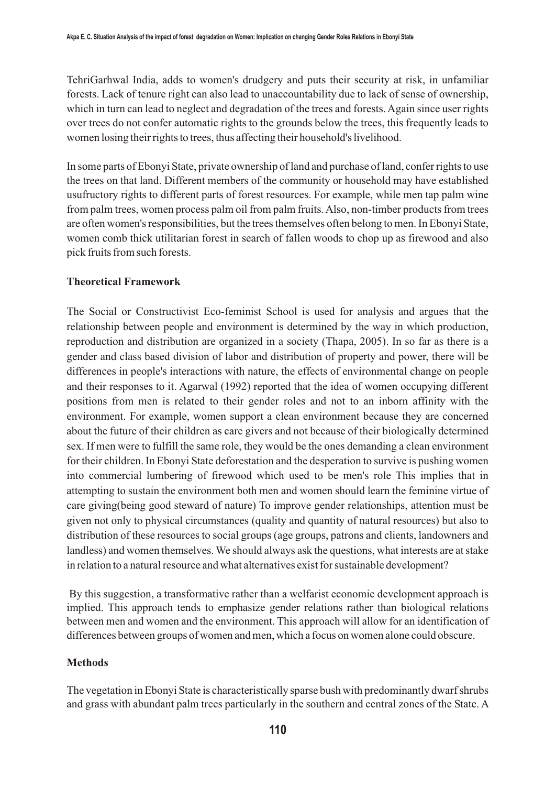TehriGarhwal India, adds to women's drudgery and puts their security at risk, in unfamiliar forests. Lack of tenure right can also lead to unaccountability due to lack of sense of ownership, which in turn can lead to neglect and degradation of the trees and forests. Again since user rights over trees do not confer automatic rights to the grounds below the trees, this frequently leads to women losing their rights to trees, thus affecting their household's livelihood.

In some parts of Ebonyi State, private ownership of land and purchase of land, confer rights to use the trees on that land. Different members of the community or household may have established usufructory rights to different parts of forest resources. For example, while men tap palm wine from palm trees, women process palm oil from palm fruits. Also, non-timber products from trees are often women's responsibilities, but the trees themselves often belong to men. In Ebonyi State, women comb thick utilitarian forest in search of fallen woods to chop up as firewood and also pick fruits from such forests.

# **Theoretical Framework**

The Social or Constructivist Eco-feminist School is used for analysis and argues that the relationship between people and environment is determined by the way in which production, reproduction and distribution are organized in a society (Thapa, 2005). In so far as there is a gender and class based division of labor and distribution of property and power, there will be differences in people's interactions with nature, the effects of environmental change on people and their responses to it. Agarwal (1992) reported that the idea of women occupying different positions from men is related to their gender roles and not to an inborn affinity with the environment. For example, women support a clean environment because they are concerned about the future of their children as care givers and not because of their biologically determined sex. If men were to fulfill the same role, they would be the ones demanding a clean environment for their children. In Ebonyi State deforestation and the desperation to survive is pushing women into commercial lumbering of firewood which used to be men's role This implies that in attempting to sustain the environment both men and women should learn the feminine virtue of care giving(being good steward of nature) To improve gender relationships, attention must be given not only to physical circumstances (quality and quantity of natural resources) but also to distribution of these resources to social groups (age groups, patrons and clients, landowners and landless) and women themselves. We should always ask the questions, what interests are at stake in relation to a natural resource and what alternatives exist for sustainable development?

 By this suggestion, a transformative rather than a welfarist economic development approach is implied. This approach tends to emphasize gender relations rather than biological relations between men and women and the environment. This approach will allow for an identification of differences between groups of women and men, which a focus on women alone could obscure.

# **Methods**

The vegetation in Ebonyi State is characteristically sparse bush with predominantly dwarf shrubs and grass with abundant palm trees particularly in the southern and central zones of the State. A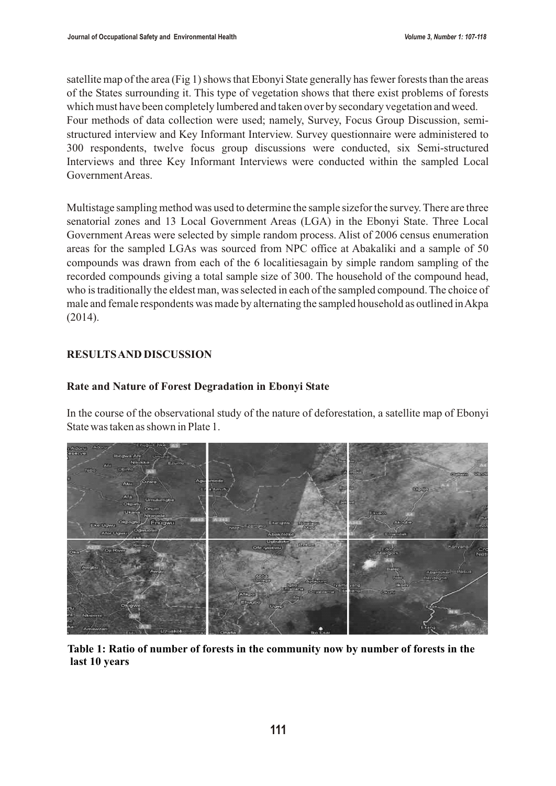satellite map of the area (Fig 1) shows that Ebonyi State generally has fewer forests than the areas of the States surrounding it. This type of vegetation shows that there exist problems of forests which must have been completely lumbered and taken over by secondary vegetation and weed. Four methods of data collection were used; namely, Survey, Focus Group Discussion, semistructured interview and Key Informant Interview. Survey questionnaire were administered to 300 respondents, twelve focus group discussions were conducted, six Semi-structured Interviews and three Key Informant Interviews were conducted within the sampled Local Government Areas.

Multistage sampling method was used to determine the sample sizefor the survey. There are three senatorial zones and 13 Local Government Areas (LGA) in the Ebonyi State. Three Local Government Areas were selected by simple random process. Alist of 2006 census enumeration areas for the sampled LGAs was sourced from NPC office at Abakaliki and a sample of 50 compounds was drawn from each of the 6 localitiesagain by simple random sampling of the recorded compounds giving a total sample size of 300. The household of the compound head, who is traditionally the eldest man, was selected in each of the sampled compound. The choice of male and female respondents was made by alternating the sampled household as outlined in Akpa (2014).

## **RESULTS AND DISCUSSION**

## **Rate and Nature of Forest Degradation in Ebonyi State**

In the course of the observational study of the nature of deforestation, a satellite map of Ebonyi State was taken as shown in Plate 1.



**Table 1: Ratio of number of forests in the community now by number of forests in the last 10 years**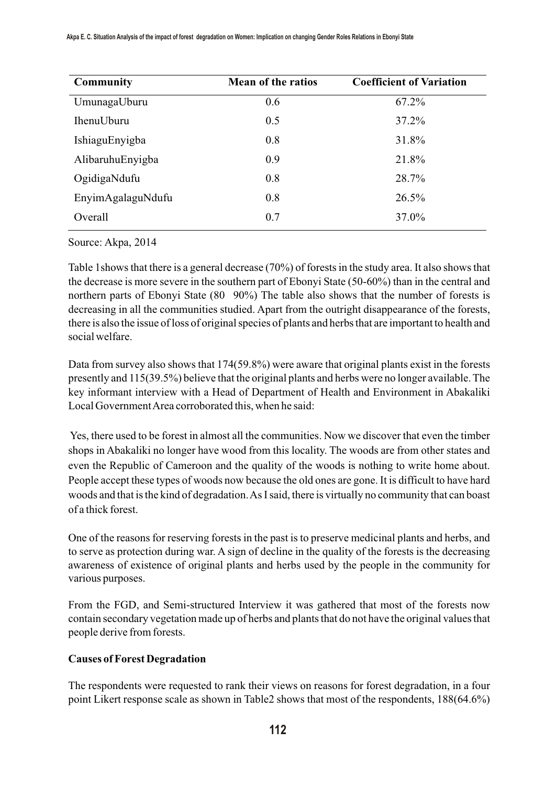| <b>Community</b>  | <b>Mean of the ratios</b> | <b>Coefficient of Variation</b> |
|-------------------|---------------------------|---------------------------------|
| UmunagaUburu      | 0.6                       | 67.2%                           |
| <b>IhenuUburu</b> | 0.5                       | 37.2%                           |
| IshiaguEnyigba    | 0.8                       | 31.8%                           |
| AlibaruhuEnyigba  | 0.9                       | 21.8%                           |
| OgidigaNdufu      | 0.8                       | 28.7%                           |
| EnyimAgalaguNdufu | 0.8                       | 26.5%                           |
| Overall           | 0.7                       | 37.0%                           |

Source: Akpa, 2014

Table 1shows that there is a general decrease (70%) of forests in the study area. It also shows that the decrease is more severe in the southern part of Ebonyi State (50-60%) than in the central and northern parts of Ebonyi State (80 90%) The table also shows that the number of forests is decreasing in all the communities studied. Apart from the outright disappearance of the forests, there is also the issue of loss of original species of plants and herbs that are important to health and social welfare.

Data from survey also shows that 174(59.8%) were aware that original plants exist in the forests presently and 115(39.5%) believe that the original plants and herbs were no longer available. The key informant interview with a Head of Department of Health and Environment in Abakaliki Local Government Area corroborated this, when he said:

Yes, there used to be forest in almost all the communities. Now we discover that even the timber shops in Abakaliki no longer have wood from this locality. The woods are from other states and even the Republic of Cameroon and the quality of the woods is nothing to write home about. People accept these types of woods now because the old ones are gone. It is difficult to have hard woods and that is the kind of degradation. As I said, there is virtually no community that can boast of a thick forest.

One of the reasons for reserving forests in the past is to preserve medicinal plants and herbs, and to serve as protection during war. A sign of decline in the quality of the forests is the decreasing awareness of existence of original plants and herbs used by the people in the community for various purposes.

From the FGD, and Semi-structured Interview it was gathered that most of the forests now contain secondary vegetation made up of herbs and plants that do not have the original values that people derive from forests.

# **Causes of Forest Degradation**

The respondents were requested to rank their views on reasons for forest degradation, in a four point Likert response scale as shown in Table2 shows that most of the respondents, 188(64.6%)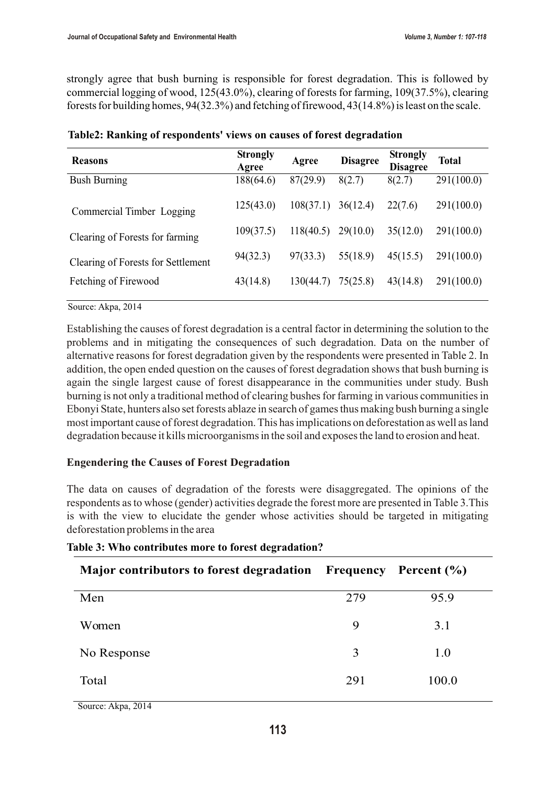strongly agree that bush burning is responsible for forest degradation. This is followed by commercial logging of wood, 125(43.0%), clearing of forests for farming, 109(37.5%), clearing forests for building homes, 94(32.3%) and fetching of firewood, 43(14.8%) is least on the scale.

| <b>Reasons</b>                     | <b>Strongly</b><br>Agree | Agree     | <b>Disagree</b> | <b>Strongly</b><br><b>Disagree</b> | <b>Total</b> |
|------------------------------------|--------------------------|-----------|-----------------|------------------------------------|--------------|
| <b>Bush Burning</b>                | 188(64.6)                | 87(29.9)  | 8(2.7)          | 8(2.7)                             | 291(100.0)   |
| Commercial Timber Logging          | 125(43.0)                | 108(37.1) | 36(12.4)        | 22(7.6)                            | 291(100.0)   |
| Clearing of Forests for farming    | 109(37.5)                | 118(40.5) | 29(10.0)        | 35(12.0)                           | 291(100.0)   |
| Clearing of Forests for Settlement | 94(32.3)                 | 97(33.3)  | 55(18.9)        | 45(15.5)                           | 291(100.0)   |
| Fetching of Firewood               | 43(14.8)                 | 130(44.7) | 75(25.8)        | 43(14.8)                           | 291(100.0)   |

Source: Akpa, 2014

Establishing the causes of forest degradation is a central factor in determining the solution to the problems and in mitigating the consequences of such degradation. Data on the number of alternative reasons for forest degradation given by the respondents were presented in Table 2. In addition, the open ended question on the causes of forest degradation shows that bush burning is again the single largest cause of forest disappearance in the communities under study. Bush burning is not only a traditional method of clearing bushes for farming in various communities in Ebonyi State, hunters also set forests ablaze in search of games thus making bush burning a single most important cause of forest degradation. This has implications on deforestation as well as land degradation because it kills microorganisms in the soil and exposes the land to erosion and heat.

### **Engendering the Causes of Forest Degradation**

The data on causes of degradation of the forests were disaggregated. The opinions of the respondents as to whose (gender) activities degrade the forest more are presented in Table 3.This is with the view to elucidate the gender whose activities should be targeted in mitigating deforestation problems in the area

| Major contributors to forest degradation Frequency |     | Percent $(\% )$ |
|----------------------------------------------------|-----|-----------------|
| Men                                                | 279 | 95.9            |
| Women                                              | 9   | 3.1             |
| No Response                                        | 3   | 1.0             |
| Total<br>$\sim$                                    | 291 | 100.0           |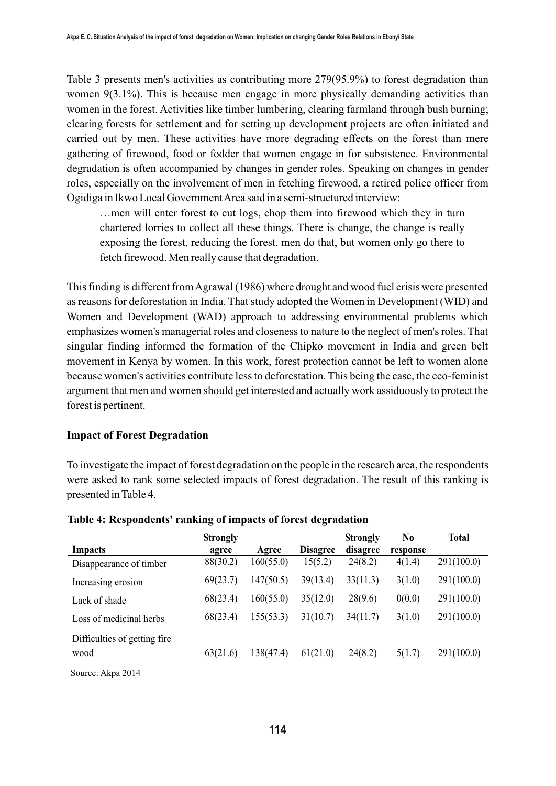Table 3 presents men's activities as contributing more 279(95.9%) to forest degradation than women 9(3.1%). This is because men engage in more physically demanding activities than women in the forest. Activities like timber lumbering, clearing farmland through bush burning; clearing forests for settlement and for setting up development projects are often initiated and carried out by men. These activities have more degrading effects on the forest than mere gathering of firewood, food or fodder that women engage in for subsistence. Environmental degradation is often accompanied by changes in gender roles. Speaking on changes in gender roles, especially on the involvement of men in fetching firewood, a retired police officer from Ogidiga in Ikwo Local Government Area said in a semi-structured interview:

…men will enter forest to cut logs, chop them into firewood which they in turn chartered lorries to collect all these things. There is change, the change is really exposing the forest, reducing the forest, men do that, but women only go there to fetch firewood. Men really cause that degradation.

This finding is different from Agrawal (1986) where drought and wood fuel crisis were presented as reasons for deforestation in India. That study adopted the Women in Development (WID) and Women and Development (WAD) approach to addressing environmental problems which emphasizes women's managerial roles and closeness to nature to the neglect of men's roles. That singular finding informed the formation of the Chipko movement in India and green belt movement in Kenya by women. In this work, forest protection cannot be left to women alone because women's activities contribute less to deforestation. This being the case, the eco-feminist argument that men and women should get interested and actually work assiduously to protect the forest is pertinent.

# **Impact of Forest Degradation**

To investigate the impact of forest degradation on the people in the research area, the respondents were asked to rank some selected impacts of forest degradation. The result of this ranking is presented in Table 4.

|                               | <b>Strongly</b> |           |                 | <b>Strongly</b> | N0       | Total      |
|-------------------------------|-----------------|-----------|-----------------|-----------------|----------|------------|
| Impacts                       | agree           | Agree     | <b>Disagree</b> | disagree        | response |            |
| Disappearance of timber       | 88(30.2)        | 160(55.0) | 15(5.2)         | 24(8.2)         | 4(1.4)   | 291(100.0) |
| Increasing erosion            | 69(23.7)        | 147(50.5) | 39(13.4)        | 33(11.3)        | 3(1.0)   | 291(100.0) |
| Lack of shade                 | 68(23.4)        | 160(55.0) | 35(12.0)        | 28(9.6)         | 0(0.0)   | 291(100.0) |
| Loss of medicinal herbs       | 68(23.4)        | 155(53.3) | 31(10.7)        | 34(11.7)        | 3(1.0)   | 291(100.0) |
| Difficulties of getting fire. |                 |           |                 |                 |          |            |
| wood                          | 63(21.6)        | 138(47.4) | 61(21.0)        | 24(8.2)         | 5(1.7)   | 291(100.0) |
|                               |                 |           |                 |                 |          |            |

#### **Table 4: Respondents' ranking of impacts of forest degradation**

Source: Akpa 2014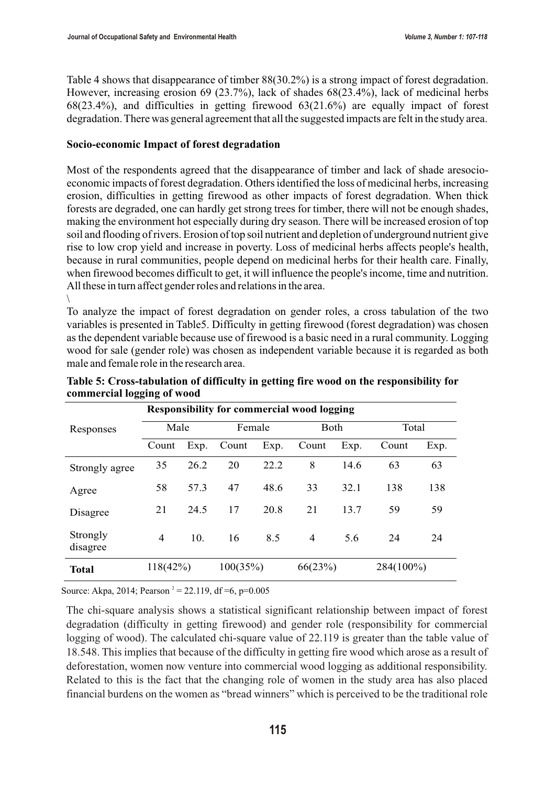Table 4 shows that disappearance of timber 88(30.2%) is a strong impact of forest degradation. However, increasing erosion 69 (23.7%), lack of shades 68(23.4%), lack of medicinal herbs 68(23.4%), and difficulties in getting firewood 63(21.6%) are equally impact of forest degradation. There was general agreement that all the suggested impacts are felt in the study area.

#### **Socio-economic Impact of forest degradation**

Most of the respondents agreed that the disappearance of timber and lack of shade aresocioeconomic impacts of forest degradation. Others identified the loss of medicinal herbs, increasing erosion, difficulties in getting firewood as other impacts of forest degradation. When thick forests are degraded, one can hardly get strong trees for timber, there will not be enough shades, making the environment hot especially during dry season. There will be increased erosion of top soil and flooding of rivers. Erosion of top soil nutrient and depletion of underground nutrient give rise to low crop yield and increase in poverty. Loss of medicinal herbs affects people's health, because in rural communities, people depend on medicinal herbs for their health care. Finally, when firewood becomes difficult to get, it will influence the people's income, time and nutrition. All these in turn affect gender roles and relations in the area.  $\setminus$ 

To analyze the impact of forest degradation on gender roles, a cross tabulation of the two variables is presented in Table5. Difficulty in getting firewood (forest degradation) was chosen as the dependent variable because use of firewood is a basic need in a rural community. Logging wood for sale (gender role) was chosen as independent variable because it is regarded as both male and female role in the research area.

|                      | <b>Responsibility for commercial wood logging</b> |      |          |      |                |      |           |      |
|----------------------|---------------------------------------------------|------|----------|------|----------------|------|-----------|------|
| Responses            | Male                                              |      | Female   |      | Both           |      | Total     |      |
|                      | Count                                             | Exp. | Count    | Exp. | Count          | Exp. | Count     | Exp. |
| Strongly agree       | 35                                                | 26.2 | 20       | 22.2 | 8              | 14.6 | 63        | 63   |
| Agree                | 58                                                | 57.3 | 47       | 48.6 | 33             | 32.1 | 138       | 138  |
| Disagree             | 21                                                | 24.5 | 17       | 20.8 | 21             | 13.7 | 59        | 59   |
| Strongly<br>disagree | 4                                                 | 10.  | 16       | 8.5  | $\overline{4}$ | 5.6  | 24        | 24   |
| <b>Total</b>         | 118(42%)                                          |      | 100(35%) |      | 66(23%)        |      | 284(100%) |      |

**Table 5: Cross-tabulation of difficulty in getting fire wood on the responsibility for commercial logging of wood**

Source: Akpa, 2014; Pearson<sup>2</sup> = 22.119, df = 6, p=0.005

The chi-square analysis shows a statistical significant relationship between impact of forest degradation (difficulty in getting firewood) and gender role (responsibility for commercial logging of wood). The calculated chi-square value of 22.119 is greater than the table value of 18.548. This implies that because of the difficulty in getting fire wood which arose as a result of deforestation, women now venture into commercial wood logging as additional responsibility. Related to this is the fact that the changing role of women in the study area has also placed financial burdens on the women as "bread winners" which is perceived to be the traditional role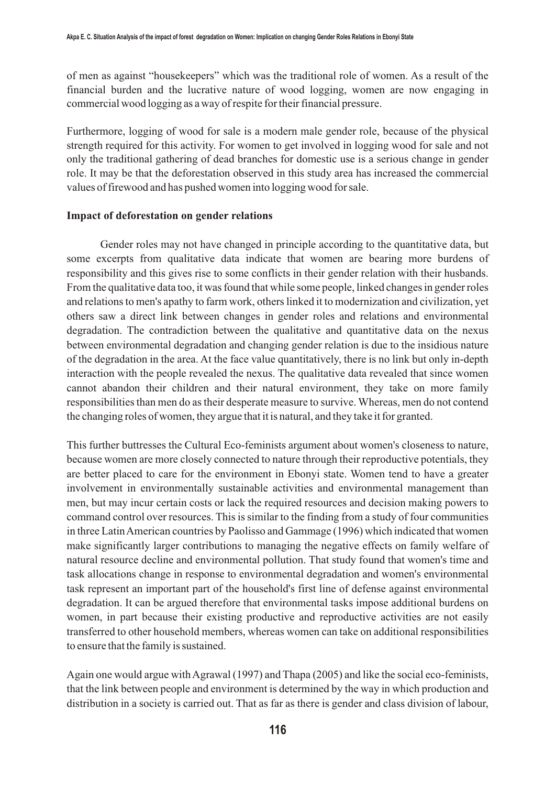of men as against "housekeepers" which was the traditional role of women. As a result of the financial burden and the lucrative nature of wood logging, women are now engaging in commercial wood logging as a way of respite for their financial pressure.

Furthermore, logging of wood for sale is a modern male gender role, because of the physical strength required for this activity. For women to get involved in logging wood for sale and not only the traditional gathering of dead branches for domestic use is a serious change in gender role. It may be that the deforestation observed in this study area has increased the commercial values of firewood and has pushed women into logging wood for sale.

#### **Impact of deforestation on gender relations**

Gender roles may not have changed in principle according to the quantitative data, but some excerpts from qualitative data indicate that women are bearing more burdens of responsibility and this gives rise to some conflicts in their gender relation with their husbands. From the qualitative data too, it was found that while some people, linked changes in gender roles and relations to men's apathy to farm work, others linked it to modernization and civilization, yet others saw a direct link between changes in gender roles and relations and environmental degradation. The contradiction between the qualitative and quantitative data on the nexus between environmental degradation and changing gender relation is due to the insidious nature of the degradation in the area. At the face value quantitatively, there is no link but only in-depth interaction with the people revealed the nexus. The qualitative data revealed that since women cannot abandon their children and their natural environment, they take on more family responsibilities than men do as their desperate measure to survive. Whereas, men do not contend the changing roles of women, they argue that it is natural, and they take it for granted.

This further buttresses the Cultural Eco-feminists argument about women's closeness to nature, because women are more closely connected to nature through their reproductive potentials, they are better placed to care for the environment in Ebonyi state. Women tend to have a greater involvement in environmentally sustainable activities and environmental management than men, but may incur certain costs or lack the required resources and decision making powers to command control over resources. This is similar to the finding from a study of four communities in three Latin American countries by Paolisso and Gammage (1996) which indicated that women make significantly larger contributions to managing the negative effects on family welfare of natural resource decline and environmental pollution. That study found that women's time and task allocations change in response to environmental degradation and women's environmental task represent an important part of the household's first line of defense against environmental degradation. It can be argued therefore that environmental tasks impose additional burdens on women, in part because their existing productive and reproductive activities are not easily transferred to other household members, whereas women can take on additional responsibilities to ensure that the family is sustained.

Again one would argue with Agrawal (1997) and Thapa (2005) and like the social eco-feminists, that the link between people and environment is determined by the way in which production and distribution in a society is carried out. That as far as there is gender and class division of labour,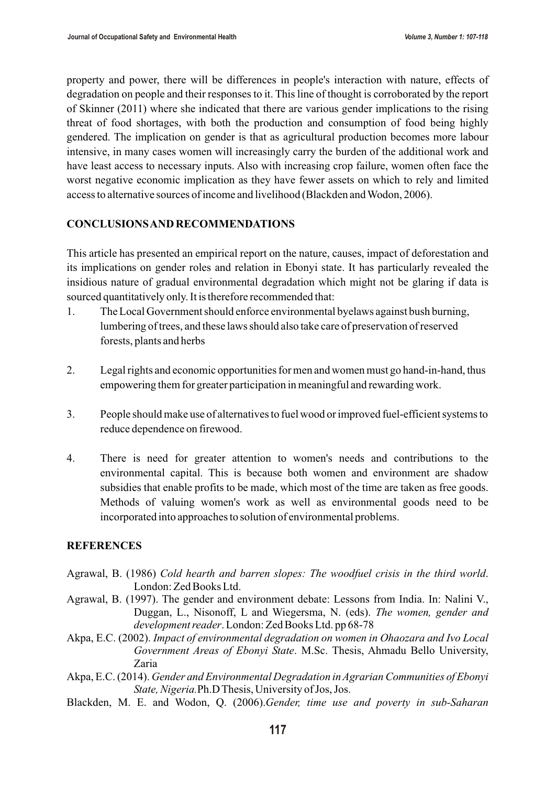property and power, there will be differences in people's interaction with nature, effects of degradation on people and their responses to it. This line of thought is corroborated by the report of Skinner (2011) where she indicated that there are various gender implications to the rising threat of food shortages, with both the production and consumption of food being highly gendered. The implication on gender is that as agricultural production becomes more labour intensive, in many cases women will increasingly carry the burden of the additional work and have least access to necessary inputs. Also with increasing crop failure, women often face the worst negative economic implication as they have fewer assets on which to rely and limited access to alternative sources of income and livelihood (Blackden and Wodon, 2006).

## **CONCLUSIONS AND RECOMMENDATIONS**

This article has presented an empirical report on the nature, causes, impact of deforestation and its implications on gender roles and relation in Ebonyi state. It has particularly revealed the insidious nature of gradual environmental degradation which might not be glaring if data is sourced quantitatively only. It is therefore recommended that:

1. The Local Government should enforce environmental byelaws against bush burning, lumbering of trees, and these laws should also take care of preservation of reserved forests, plants and herbs

Legal rights and economic opportunities for men and women must go hand-in-hand, thus empowering them for greater participation in meaningful and rewarding work.

3. People should make use of alternatives to fuel wood or improved fuel-efficient systems to reduce dependence on firewood.

There is need for greater attention to women's needs and contributions to the environmental capital. This is because both women and environment are shadow subsidies that enable profits to be made, which most of the time are taken as free goods. Methods of valuing women's work as well as environmental goods need to be incorporated into approaches to solution of environmental problems.

# **REFERENCES**

- Agrawal, B. (1986) *Cold hearth and barren slopes: The woodfuel crisis in the third world*. London: Zed Books Ltd.
- Agrawal, B. (1997). The gender and environment debate: Lessons from India. In: Nalini V., Duggan, L., Nisonoff, L and Wiegersma, N. (eds). *The women, gender and development reader*. London: Zed Books Ltd. pp 68-78
- Akpa, E.C. (2002). *Impact of environmental degradation on women in Ohaozara and Ivo Local Government Areas of Ebonyi State*. M.Sc. Thesis, Ahmadu Bello University, Zaria
- Akpa, E.C. (2014). *Gender and Environmental Degradation in Agrarian Communities of Ebonyi State, Nigeria.*Ph.D Thesis, University of Jos, Jos.
- Blackden, M. E. and Wodon, Q. (2006).*Gender, time use and poverty in sub-Saharan*